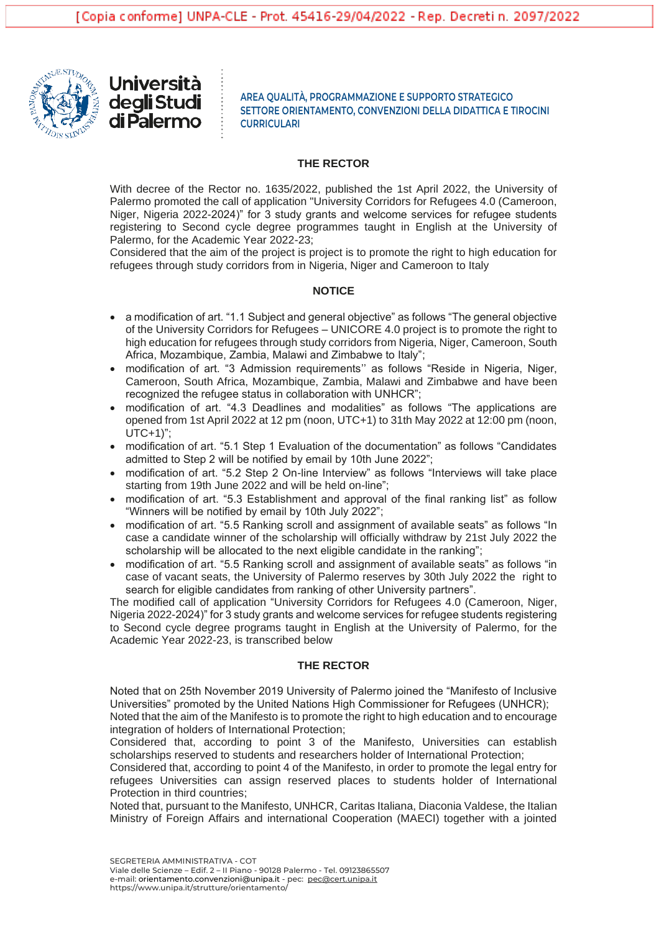

Università degli Studi **di Palermo** 

**AREA QUALITÀ, PROGRAMMAZIONE E SUPPORTO STRATEGICO SETTORE ORIENTAMENTO, CONVENZIONI DELLA DIDATTICA E TIROCINI CURRICULARI**

#### **THE RECTOR**

With decree of the Rector no. 1635/2022, published the 1st April 2022, the University of Palermo promoted the call of application "University Corridors for Refugees 4.0 (Cameroon, Niger, Nigeria 2022-2024)" for 3 study grants and welcome services for refugee students registering to Second cycle degree programmes taught in English at the University of Palermo, for the Academic Year 2022-23;

Considered that the aim of the project is project is to promote the right to high education for refugees through study corridors from in Nigeria, Niger and Cameroon to Italy

## **NOTICE**

- a modification of art. "1.1 Subject and general objective" as follows "The general objective of the University Corridors for Refugees – UNICORE 4.0 project is to promote the right to high education for refugees through study corridors from Nigeria, Niger, Cameroon, South Africa, Mozambique, Zambia, Malawi and Zimbabwe to Italy";
- modification of art. "3 Admission requirements'' as follows "Reside in Nigeria, Niger, Cameroon, South Africa, Mozambique, Zambia, Malawi and Zimbabwe and have been recognized the refugee status in collaboration with UNHCR";
- modification of art. "4.3 Deadlines and modalities" as follows "The applications are opened from 1st April 2022 at 12 pm (noon, UTC+1) to 31th May 2022 at 12:00 pm (noon, UTC+1)";
- modification of art. "5.1 Step 1 Evaluation of the documentation" as follows "Candidates admitted to Step 2 will be notified by email by 10th June 2022";
- modification of art. "5.2 Step 2 On-line Interview" as follows "Interviews will take place starting from 19th June 2022 and will be held on-line";
- modification of art. "5.3 Establishment and approval of the final ranking list" as follow "Winners will be notified by email by 10th July 2022";
- modification of art. "5.5 Ranking scroll and assignment of available seats" as follows "In case a candidate winner of the scholarship will officially withdraw by 21st July 2022 the scholarship will be allocated to the next eligible candidate in the ranking";
- modification of art. "5.5 Ranking scroll and assignment of available seats" as follows "in case of vacant seats, the University of Palermo reserves by 30th July 2022 the right to search for eligible candidates from ranking of other University partners".

The modified call of application "University Corridors for Refugees 4.0 (Cameroon, Niger, Nigeria 2022-2024)" for 3 study grants and welcome services for refugee students registering to Second cycle degree programs taught in English at the University of Palermo, for the Academic Year 2022-23, is transcribed below

## **THE RECTOR**

Noted that on 25th November 2019 University of Palermo joined the "Manifesto of Inclusive Universities" promoted by the United Nations High Commissioner for Refugees (UNHCR);

Noted that the aim of the Manifesto is to promote the right to high education and to encourage integration of holders of International Protection;

Considered that, according to point 3 of the Manifesto, Universities can establish scholarships reserved to students and researchers holder of International Protection;

Considered that, according to point 4 of the Manifesto, in order to promote the legal entry for refugees Universities can assign reserved places to students holder of International Protection in third countries;

Noted that, pursuant to the Manifesto, UNHCR, Caritas Italiana, Diaconia Valdese, the Italian Ministry of Foreign Affairs and international Cooperation (MAECI) together with a jointed

SEGRETERIA AMMINISTRATIVA - COT Viale delle Scienze – Edif. 2 – II Piano - 90128 Palermo - Tel. 09123865507 e-mail: orientamento.convenzioni@unipa.it - pec: [pec@cert.unipa.it](mailto:pec@cert.unipa.it) https://www.unipa.it/strutture/orientamento/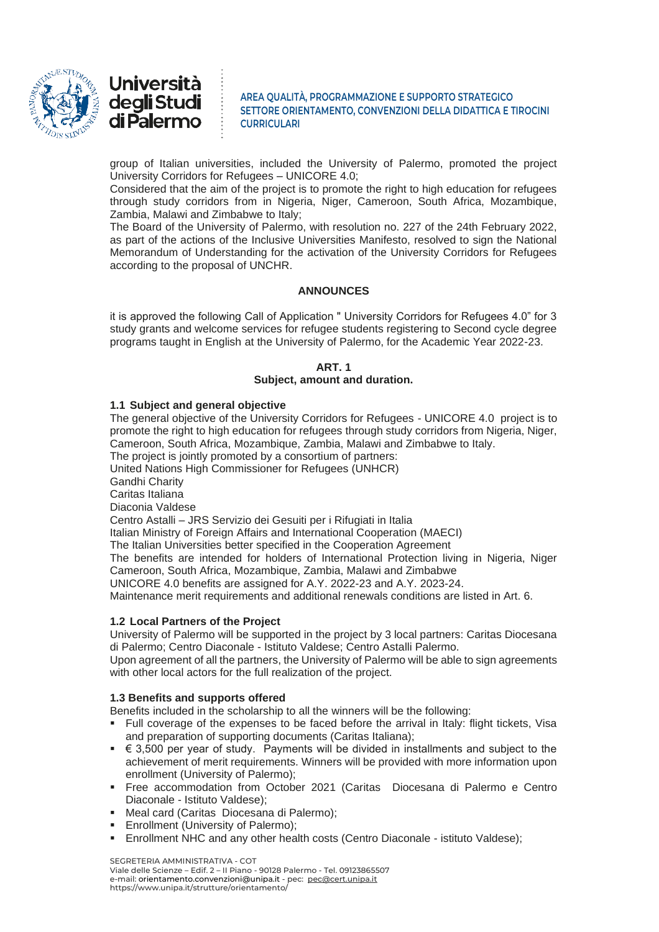



group of Italian universities, included the University of Palermo, promoted the project University Corridors for Refugees – UNICORE 4.0;

Considered that the aim of the project is to promote the right to high education for refugees through study corridors from in Nigeria, Niger, Cameroon, South Africa, Mozambique, Zambia, Malawi and Zimbabwe to Italy;

The Board of the University of Palermo, with resolution no. 227 of the 24th February 2022, as part of the actions of the Inclusive Universities Manifesto, resolved to sign the National Memorandum of Understanding for the activation of the University Corridors for Refugees according to the proposal of UNCHR.

# **ANNOUNCES**

it is approved the following Call of Application " University Corridors for Refugees 4.0" for 3 study grants and welcome services for refugee students registering to Second cycle degree programs taught in English at the University of Palermo, for the Academic Year 2022-23.

## **ART. 1 Subject, amount and duration.**

# **1.1 Subject and general objective**

The general objective of the University Corridors for Refugees - UNICORE 4.0 project is to promote the right to high education for refugees through study corridors from Nigeria, Niger, Cameroon, South Africa, Mozambique, Zambia, Malawi and Zimbabwe to Italy.

The project is jointly promoted by a consortium of partners:

United Nations High Commissioner for Refugees (UNHCR)

Gandhi Charity

Caritas Italiana

Diaconia Valdese

Centro Astalli – JRS Servizio dei Gesuiti per i Rifugiati in Italia

Italian Ministry of Foreign Affairs and International Cooperation (MAECI)

The Italian Universities better specified in the Cooperation Agreement

The benefits are intended for holders of International Protection living in Nigeria, Niger Cameroon, South Africa, Mozambique, Zambia, Malawi and Zimbabwe

UNICORE 4.0 benefits are assigned for A.Y. 2022-23 and A.Y. 2023-24.

Maintenance merit requirements and additional renewals conditions are listed in Art. 6.

## **1.2 Local Partners of the Project**

University of Palermo will be supported in the project by 3 local partners: Caritas Diocesana di Palermo; Centro Diaconale - Istituto Valdese; Centro Astalli Palermo.

Upon agreement of all the partners, the University of Palermo will be able to sign agreements with other local actors for the full realization of the project.

## **1.3 Benefits and supports offered**

Benefits included in the scholarship to all the winners will be the following:

- Full coverage of the expenses to be faced before the arrival in Italy: flight tickets, Visa and preparation of supporting documents (Caritas Italiana);
- $\in$  3,500 per year of study. Payments will be divided in installments and subject to the achievement of merit requirements. Winners will be provided with more information upon enrollment (University of Palermo);
- Free accommodation from October 2021 (Caritas Diocesana di Palermo e Centro Diaconale - Istituto Valdese);
- Meal card (Caritas Diocesana di Palermo);
- Enrollment (University of Palermo);
- Enrollment NHC and any other health costs (Centro Diaconale istituto Valdese);

SEGRETERIA AMMINISTRATIVA - COT

Viale delle Scienze – Edif. 2 – II Piano - 90128 Palermo - Tel. 09123865507 e-mail: orientamento.convenzioni@unipa.it - pec: [pec@cert.unipa.it](mailto:pec@cert.unipa.it) https://www.unipa.it/strutture/orientamento/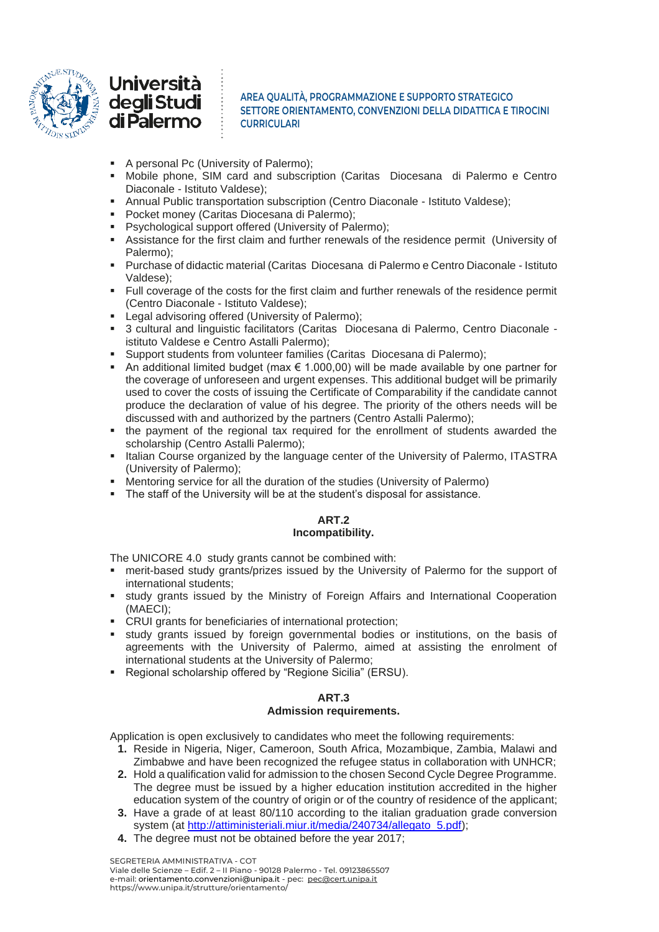



- A personal Pc (University of Palermo);
- Mobile phone, SIM card and subscription (Caritas Diocesana di Palermo e Centro Diaconale - Istituto Valdese);
- Annual Public transportation subscription (Centro Diaconale Istituto Valdese);
- Pocket money (Caritas Diocesana di Palermo):
- Psychological support offered (University of Palermo);
- Assistance for the first claim and further renewals of the residence permit (University of Palermo);
- Purchase of didactic material (Caritas Diocesana di Palermo e Centro Diaconale Istituto Valdese);
- Full coverage of the costs for the first claim and further renewals of the residence permit (Centro Diaconale - Istituto Valdese);
- Legal advisoring offered (University of Palermo);
- 3 cultural and linguistic facilitators (Caritas Diocesana di Palermo, Centro Diaconale istituto Valdese e Centro Astalli Palermo);
- Support students from volunteer families (Caritas Diocesana di Palermo);
- An additional limited budget (max  $\epsilon$  1.000,00) will be made available by one partner for the coverage of unforeseen and urgent expenses. This additional budget will be primarily used to cover the costs of issuing the Certificate of Comparability if the candidate cannot produce the declaration of value of his degree. The priority of the others needs will be discussed with and authorized by the partners (Centro Astalli Palermo);
- the payment of the regional tax required for the enrollment of students awarded the scholarship (Centro Astalli Palermo);
- **.** Italian Course organized by the language center of the University of Palermo, ITASTRA (University of Palermo);
- Mentoring service for all the duration of the studies (University of Palermo)
- The staff of the University will be at the student's disposal for assistance.

# **ART.2 Incompatibility.**

The UNICORE 4.0 study grants cannot be combined with:

- **■** merit-based study grants/prizes issued by the University of Palermo for the support of international students;
- study grants issued by the Ministry of Foreign Affairs and International Cooperation (MAECI);
- CRUI grants for beneficiaries of international protection;
- **•** study grants issued by foreign governmental bodies or institutions, on the basis of agreements with the University of Palermo, aimed at assisting the enrolment of international students at the University of Palermo;
- Regional scholarship offered by "Regione Sicilia" (ERSU).

# **ART.3**

## **Admission requirements.**

Application is open exclusively to candidates who meet the following requirements:

- **1.** Reside in Nigeria, Niger, Cameroon, South Africa, Mozambique, Zambia, Malawi and Zimbabwe and have been recognized the refugee status in collaboration with UNHCR;
- **2.** Hold a qualification valid for admission to the chosen Second Cycle Degree Programme. The degree must be issued by a higher education institution accredited in the higher education system of the country of origin or of the country of residence of the applicant;
- **3.** Have a grade of at least 80/110 according to the italian graduation grade conversion system (at [http://attiministeriali.miur.it/media/240734/allegato\\_5.pdf\)](http://attiministeriali.miur.it/media/240734/allegato_5.pdf);
- **4.** The degree must not be obtained before the year 2017;

SEGRETERIA AMMINISTRATIVA - COT Viale delle Scienze – Edif. 2 – II Piano - 90128 Palermo - Tel. 09123865507 e-mail: orientamento.convenzioni@unipa.it - pec: [pec@cert.unipa.it](mailto:pec@cert.unipa.it) https://www.unipa.it/strutture/orientamento/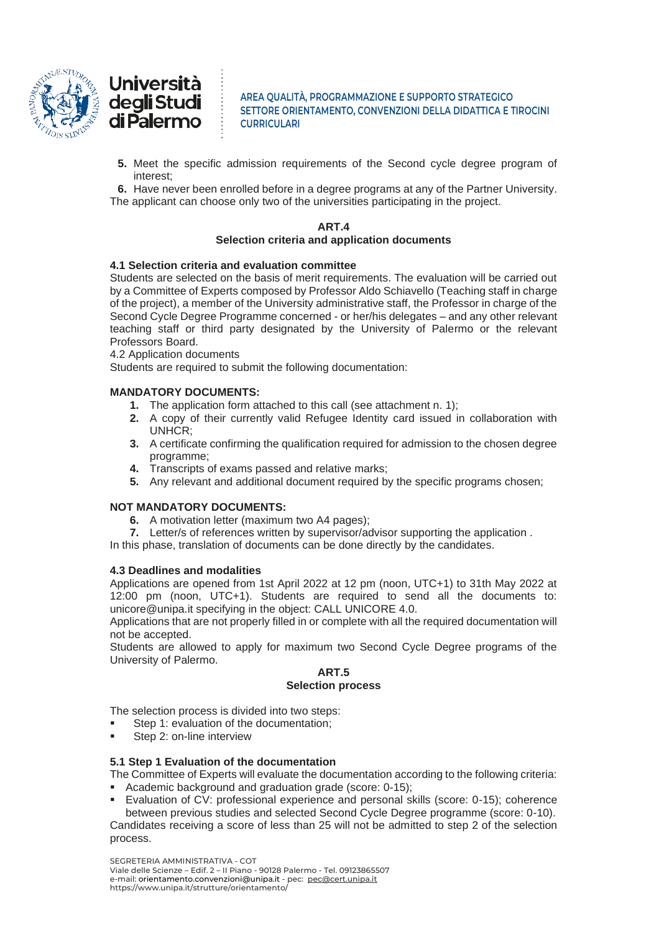



**5.** Meet the specific admission requirements of the Second cycle degree program of interest;

**6.** Have never been enrolled before in a degree programs at any of the Partner University. The applicant can choose only two of the universities participating in the project.

#### **ART.4 Selection criteria and application documents**

# **4.1 Selection criteria and evaluation committee**

Students are selected on the basis of merit requirements. The evaluation will be carried out by a Committee of Experts composed by Professor Aldo Schiavello (Teaching staff in charge of the project), a member of the University administrative staff, the Professor in charge of the Second Cycle Degree Programme concerned - or her/his delegates – and any other relevant teaching staff or third party designated by the University of Palermo or the relevant Professors Board.

4.2 Application documents

Students are required to submit the following documentation:

# **MANDATORY DOCUMENTS:**

- **1.** The application form attached to this call (see attachment n. 1);
- **2.** A copy of their currently valid Refugee Identity card issued in collaboration with UNHCR;
- **3.** A certificate confirming the qualification required for admission to the chosen degree programme;
- **4.** Transcripts of exams passed and relative marks;
- **5.** Any relevant and additional document required by the specific programs chosen;

## **NOT MANDATORY DOCUMENTS:**

- **6.** A motivation letter (maximum two A4 pages);
- **7.** Letter/s of references written by supervisor/advisor supporting the application .

In this phase, translation of documents can be done directly by the candidates.

## **4.3 Deadlines and modalities**

Applications are opened from 1st April 2022 at 12 pm (noon, UTC+1) to 31th May 2022 at 12:00 pm (noon, UTC+1). Students are required to send all the documents to: unicore@unipa.it specifying in the object: CALL UNICORE 4.0.

Applications that are not properly filled in or complete with all the required documentation will not be accepted.

Students are allowed to apply for maximum two Second Cycle Degree programs of the University of Palermo.

#### **ART.5 Selection process**

The selection process is divided into two steps:

- Step 1: evaluation of the documentation;
- Step 2: on-line interview

# **5.1 Step 1 Evaluation of the documentation**

The Committee of Experts will evaluate the documentation according to the following criteria: ▪ Academic background and graduation grade (score: 0-15);

Evaluation of CV: professional experience and personal skills (score: 0-15); coherence between previous studies and selected Second Cycle Degree programme (score: 0-10).

Candidates receiving a score of less than 25 will not be admitted to step 2 of the selection process.

SEGRETERIA AMMINISTRATIVA - COT Viale delle Scienze – Edif. 2 – II Piano - 90128 Palermo - Tel. 09123865507 e-mail: orientamento.convenzioni@unipa.it - pec: [pec@cert.unipa.it](mailto:pec@cert.unipa.it) https://www.unipa.it/strutture/orientamento/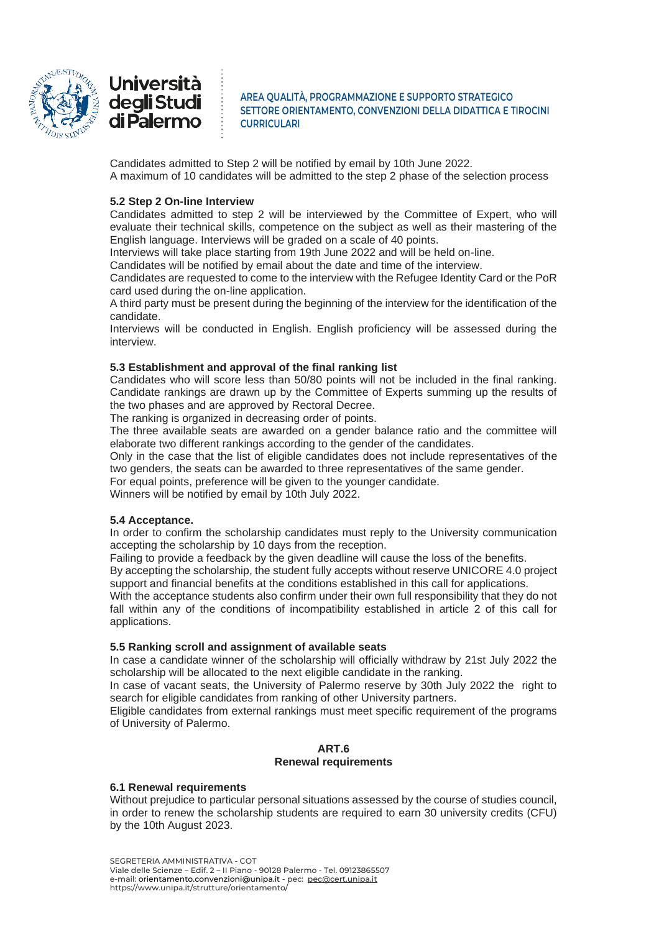



Candidates admitted to Step 2 will be notified by email by 10th June 2022. A maximum of 10 candidates will be admitted to the step 2 phase of the selection process

# **5.2 Step 2 On-line Interview**

Candidates admitted to step 2 will be interviewed by the Committee of Expert, who will evaluate their technical skills, competence on the subject as well as their mastering of the English language. Interviews will be graded on a scale of 40 points.

Interviews will take place starting from 19th June 2022 and will be held on-line.

Candidates will be notified by email about the date and time of the interview.

Candidates are requested to come to the interview with the Refugee Identity Card or the PoR card used during the on-line application.

A third party must be present during the beginning of the interview for the identification of the candidate.

Interviews will be conducted in English. English proficiency will be assessed during the interview.

# **5.3 Establishment and approval of the final ranking list**

Candidates who will score less than 50/80 points will not be included in the final ranking. Candidate rankings are drawn up by the Committee of Experts summing up the results of the two phases and are approved by Rectoral Decree.

The ranking is organized in decreasing order of points.

The three available seats are awarded on a gender balance ratio and the committee will elaborate two different rankings according to the gender of the candidates.

Only in the case that the list of eligible candidates does not include representatives of the two genders, the seats can be awarded to three representatives of the same gender.

For equal points, preference will be given to the younger candidate.

Winners will be notified by email by 10th July 2022.

## **5.4 Acceptance.**

In order to confirm the scholarship candidates must reply to the University communication accepting the scholarship by 10 days from the reception.

Failing to provide a feedback by the given deadline will cause the loss of the benefits.

By accepting the scholarship, the student fully accepts without reserve UNICORE 4.0 project support and financial benefits at the conditions established in this call for applications.

With the acceptance students also confirm under their own full responsibility that they do not fall within any of the conditions of incompatibility established in article 2 of this call for applications.

## **5.5 Ranking scroll and assignment of available seats**

In case a candidate winner of the scholarship will officially withdraw by 21st July 2022 the scholarship will be allocated to the next eligible candidate in the ranking.

In case of vacant seats, the University of Palermo reserve by 30th July 2022 the right to search for eligible candidates from ranking of other University partners.

Eligible candidates from external rankings must meet specific requirement of the programs of University of Palermo.

## **ART.6 Renewal requirements**

## **6.1 Renewal requirements**

Without prejudice to particular personal situations assessed by the course of studies council, in order to renew the scholarship students are required to earn 30 university credits (CFU) by the 10th August 2023.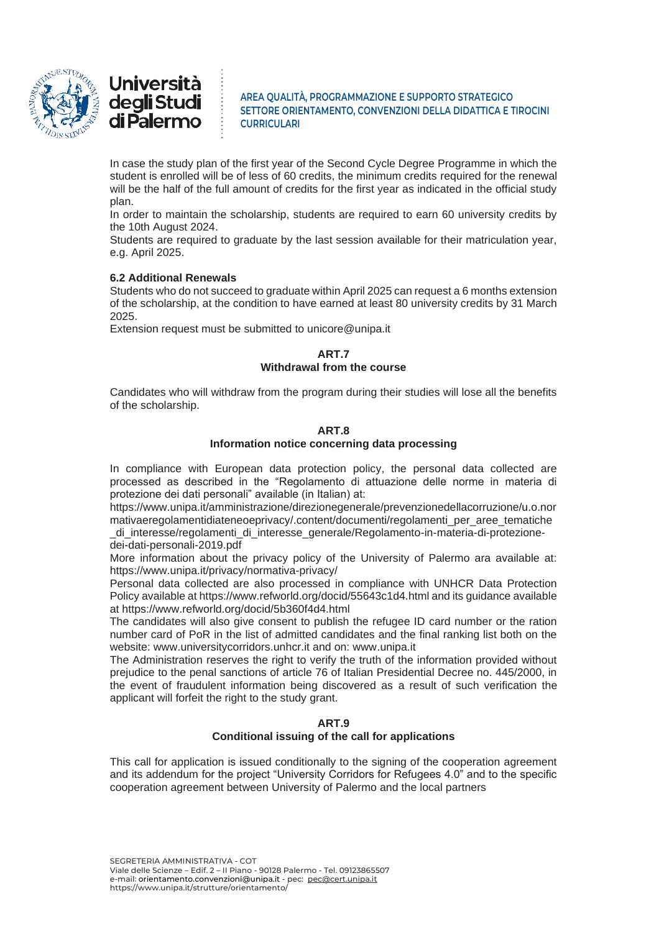



In case the study plan of the first year of the Second Cycle Degree Programme in which the student is enrolled will be of less of 60 credits, the minimum credits required for the renewal will be the half of the full amount of credits for the first year as indicated in the official study plan.

In order to maintain the scholarship, students are required to earn 60 university credits by the 10th August 2024.

Students are required to graduate by the last session available for their matriculation year, e.g. April 2025.

# **6.2 Additional Renewals**

Students who do not succeed to graduate within April 2025 can request a 6 months extension of the scholarship, at the condition to have earned at least 80 university credits by 31 March 2025.

Extension request must be submitted to unicore@unipa.it

# **ART.7 Withdrawal from the course**

Candidates who will withdraw from the program during their studies will lose all the benefits of the scholarship.

# **ART.8**

# **Information notice concerning data processing**

In compliance with European data protection policy, the personal data collected are processed as described in the "Regolamento di attuazione delle norme in materia di protezione dei dati personali" available (in Italian) at:

https://www.unipa.it/amministrazione/direzionegenerale/prevenzionedellacorruzione/u.o.nor mativaeregolamentidiateneoeprivacy/.content/documenti/regolamenti\_per\_aree\_tematiche \_di\_interesse/regolamenti\_di\_interesse\_generale/Regolamento-in-materia-di-protezionedei-dati-personali-2019.pdf

More information about the privacy policy of the University of Palermo ara available at: https://www.unipa.it/privacy/normativa-privacy/

Personal data collected are also processed in compliance with UNHCR Data Protection Policy available at https://www.refworld.org/docid/55643c1d4.html and its guidance available at https://www.refworld.org/docid/5b360f4d4.html

The candidates will also give consent to publish the refugee ID card number or the ration number card of PoR in the list of admitted candidates and the final ranking list both on the website: www.universitycorridors.unhcr.it and on: www.unipa.it

The Administration reserves the right to verify the truth of the information provided without prejudice to the penal sanctions of article 76 of Italian Presidential Decree no. 445/2000, in the event of fraudulent information being discovered as a result of such verification the applicant will forfeit the right to the study grant.

# **ART.9 Conditional issuing of the call for applications**

This call for application is issued conditionally to the signing of the cooperation agreement and its addendum for the project "University Corridors for Refugees 4.0" and to the specific cooperation agreement between University of Palermo and the local partners